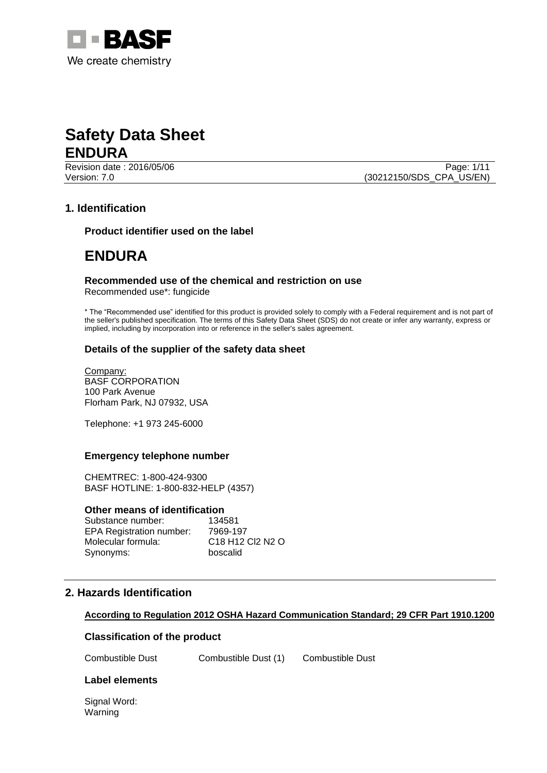

Revision date : 2016/05/06 Page: 1/11 Version: 7.0 (30212150/SDS\_CPA\_US/EN)

# **1. Identification**

**Product identifier used on the label**

# **ENDURA**

# **Recommended use of the chemical and restriction on use**

Recommended use\*: fungicide

\* The "Recommended use" identified for this product is provided solely to comply with a Federal requirement and is not part of the seller's published specification. The terms of this Safety Data Sheet (SDS) do not create or infer any warranty, express or implied, including by incorporation into or reference in the seller's sales agreement.

## **Details of the supplier of the safety data sheet**

Company: BASF CORPORATION 100 Park Avenue Florham Park, NJ 07932, USA

Telephone: +1 973 245-6000

#### **Emergency telephone number**

CHEMTREC: 1-800-424-9300 BASF HOTLINE: 1-800-832-HELP (4357)

#### **Other means of identification**

| Substance number:               | 134581                                                          |
|---------------------------------|-----------------------------------------------------------------|
| <b>EPA Registration number:</b> | 7969-197                                                        |
| Molecular formula:              | C <sub>18</sub> H <sub>12</sub> C <sub>2</sub> N <sub>2</sub> O |
| Synonyms:                       | boscalid                                                        |

## **2. Hazards Identification**

#### **According to Regulation 2012 OSHA Hazard Communication Standard; 29 CFR Part 1910.1200**

#### **Classification of the product**

Combustible Dust Combustible Dust (1) Combustible Dust

#### **Label elements**

Signal Word: Warning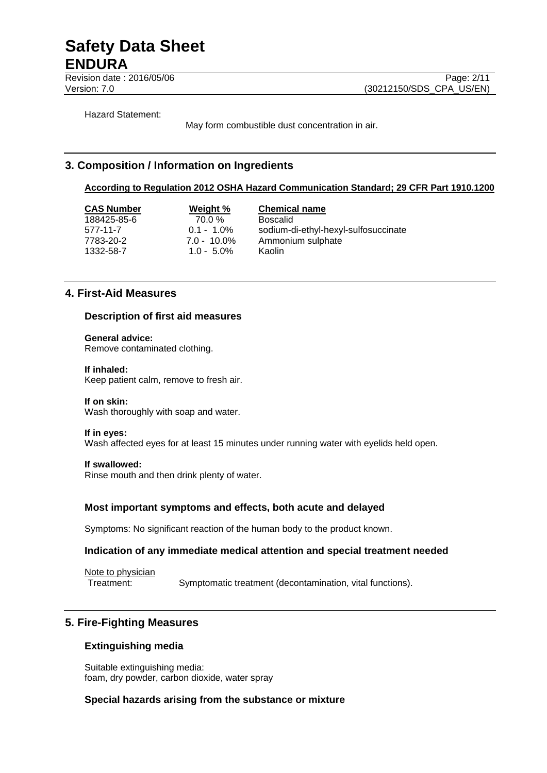Revision date : 2016/05/06 Page: 2/11

Version: 7.0 (30212150/SDS\_CPA\_US/EN)

Hazard Statement:

May form combustible dust concentration in air.

# **3. Composition / Information on Ingredients**

### **According to Regulation 2012 OSHA Hazard Communication Standard; 29 CFR Part 1910.1200**

**CAS Number Weight % Chemical name** 188425-85-6 70.0 % Boscalid 1332-58-7 1.0 - 5.0% Kaolin

577-11-7 0.1 - 1.0% sodium-di-ethyl-hexyl-sulfosuccinate 7783-20-2 7.0 - 10.0% Ammonium sulphate

# **4. First-Aid Measures**

### **Description of first aid measures**

**General advice:** Remove contaminated clothing.

#### **If inhaled:**

Keep patient calm, remove to fresh air.

#### **If on skin:**

Wash thoroughly with soap and water.

#### **If in eyes:**

Wash affected eyes for at least 15 minutes under running water with eyelids held open.

#### **If swallowed:**

Rinse mouth and then drink plenty of water.

## **Most important symptoms and effects, both acute and delayed**

Symptoms: No significant reaction of the human body to the product known.

#### **Indication of any immediate medical attention and special treatment needed**

Note to physician

Treatment: Symptomatic treatment (decontamination, vital functions).

# **5. Fire-Fighting Measures**

## **Extinguishing media**

Suitable extinguishing media: foam, dry powder, carbon dioxide, water spray

## **Special hazards arising from the substance or mixture**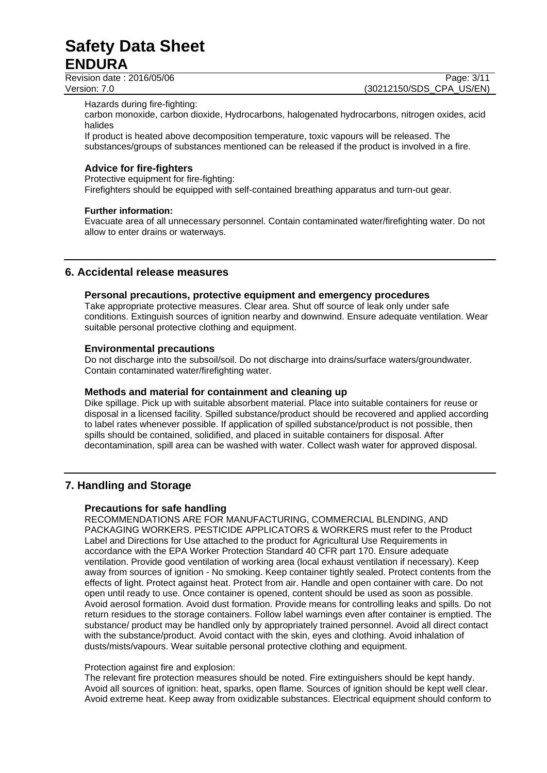Revision date : 2016/05/06 Page: 3/11

Version: 7.0 (30212150/SDS\_CPA\_US/EN)

Hazards during fire-fighting:

carbon monoxide, carbon dioxide, Hydrocarbons, halogenated hydrocarbons, nitrogen oxides, acid halides

If product is heated above decomposition temperature, toxic vapours will be released. The substances/groups of substances mentioned can be released if the product is involved in a fire.

# **Advice for fire-fighters**

Protective equipment for fire-fighting:

Firefighters should be equipped with self-contained breathing apparatus and turn-out gear.

### **Further information:**

Evacuate area of all unnecessary personnel. Contain contaminated water/firefighting water. Do not allow to enter drains or waterways.

# **6. Accidental release measures**

### **Personal precautions, protective equipment and emergency procedures**

Take appropriate protective measures. Clear area. Shut off source of leak only under safe conditions. Extinguish sources of ignition nearby and downwind. Ensure adequate ventilation. Wear suitable personal protective clothing and equipment.

### **Environmental precautions**

Do not discharge into the subsoil/soil. Do not discharge into drains/surface waters/groundwater. Contain contaminated water/firefighting water.

## **Methods and material for containment and cleaning up**

Dike spillage. Pick up with suitable absorbent material. Place into suitable containers for reuse or disposal in a licensed facility. Spilled substance/product should be recovered and applied according to label rates whenever possible. If application of spilled substance/product is not possible, then spills should be contained, solidified, and placed in suitable containers for disposal. After decontamination, spill area can be washed with water. Collect wash water for approved disposal.

# **7. Handling and Storage**

## **Precautions for safe handling**

RECOMMENDATIONS ARE FOR MANUFACTURING, COMMERCIAL BLENDING, AND PACKAGING WORKERS. PESTICIDE APPLICATORS & WORKERS must refer to the Product Label and Directions for Use attached to the product for Agricultural Use Requirements in accordance with the EPA Worker Protection Standard 40 CFR part 170. Ensure adequate ventilation. Provide good ventilation of working area (local exhaust ventilation if necessary). Keep away from sources of ignition - No smoking. Keep container tightly sealed. Protect contents from the effects of light. Protect against heat. Protect from air. Handle and open container with care. Do not open until ready to use. Once container is opened, content should be used as soon as possible. Avoid aerosol formation. Avoid dust formation. Provide means for controlling leaks and spills. Do not return residues to the storage containers. Follow label warnings even after container is emptied. The substance/ product may be handled only by appropriately trained personnel. Avoid all direct contact with the substance/product. Avoid contact with the skin, eyes and clothing. Avoid inhalation of dusts/mists/vapours. Wear suitable personal protective clothing and equipment.

#### Protection against fire and explosion:

The relevant fire protection measures should be noted. Fire extinguishers should be kept handy. Avoid all sources of ignition: heat, sparks, open flame. Sources of ignition should be kept well clear. Avoid extreme heat. Keep away from oxidizable substances. Electrical equipment should conform to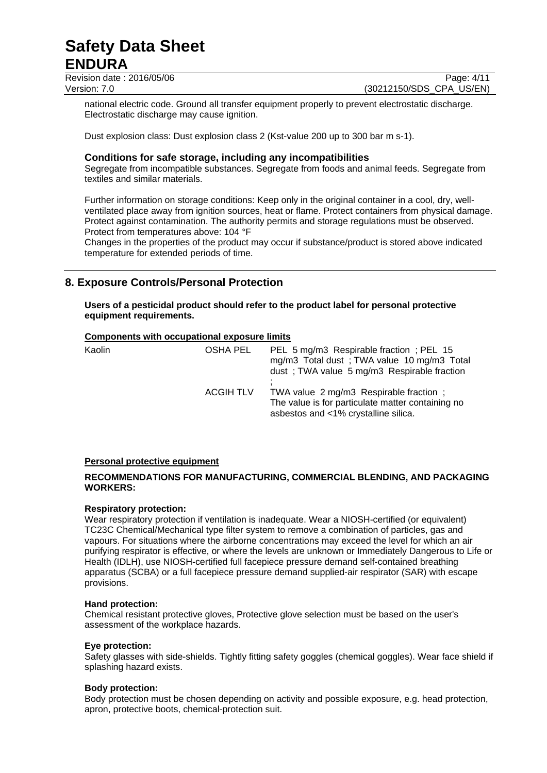Revision date : 2016/05/06 Page: 4/11 Version: 7.0 (30212150/SDS\_CPA\_US/EN)

national electric code. Ground all transfer equipment properly to prevent electrostatic discharge. Electrostatic discharge may cause ignition.

Dust explosion class: Dust explosion class 2 (Kst-value 200 up to 300 bar m s-1).

## **Conditions for safe storage, including any incompatibilities**

Segregate from incompatible substances. Segregate from foods and animal feeds. Segregate from textiles and similar materials.

Further information on storage conditions: Keep only in the original container in a cool, dry, wellventilated place away from ignition sources, heat or flame. Protect containers from physical damage. Protect against contamination. The authority permits and storage regulations must be observed. Protect from temperatures above: 104 °F

Changes in the properties of the product may occur if substance/product is stored above indicated temperature for extended periods of time.

# **8. Exposure Controls/Personal Protection**

**Users of a pesticidal product should refer to the product label for personal protective equipment requirements.**

### **Components with occupational exposure limits**

| Kaolin | OSHA PEL         | PEL 5 mg/m3 Respirable fraction; PEL 15<br>mg/m3 Total dust; TWA value 10 mg/m3 Total<br>dust; TWA value 5 mg/m3 Respirable fraction |
|--------|------------------|--------------------------------------------------------------------------------------------------------------------------------------|
|        | <b>ACGIH TLV</b> | TWA value 2 mg/m3 Respirable fraction ;<br>The value is for particulate matter containing no<br>asbestos and <1% crystalline silica. |

#### **Personal protective equipment**

## **RECOMMENDATIONS FOR MANUFACTURING, COMMERCIAL BLENDING, AND PACKAGING WORKERS:**

#### **Respiratory protection:**

Wear respiratory protection if ventilation is inadequate. Wear a NIOSH-certified (or equivalent) TC23C Chemical/Mechanical type filter system to remove a combination of particles, gas and vapours. For situations where the airborne concentrations may exceed the level for which an air purifying respirator is effective, or where the levels are unknown or Immediately Dangerous to Life or Health (IDLH), use NIOSH-certified full facepiece pressure demand self-contained breathing apparatus (SCBA) or a full facepiece pressure demand supplied-air respirator (SAR) with escape provisions.

#### **Hand protection:**

Chemical resistant protective gloves, Protective glove selection must be based on the user's assessment of the workplace hazards.

#### **Eye protection:**

Safety glasses with side-shields. Tightly fitting safety goggles (chemical goggles). Wear face shield if splashing hazard exists.

#### **Body protection:**

Body protection must be chosen depending on activity and possible exposure, e.g. head protection, apron, protective boots, chemical-protection suit.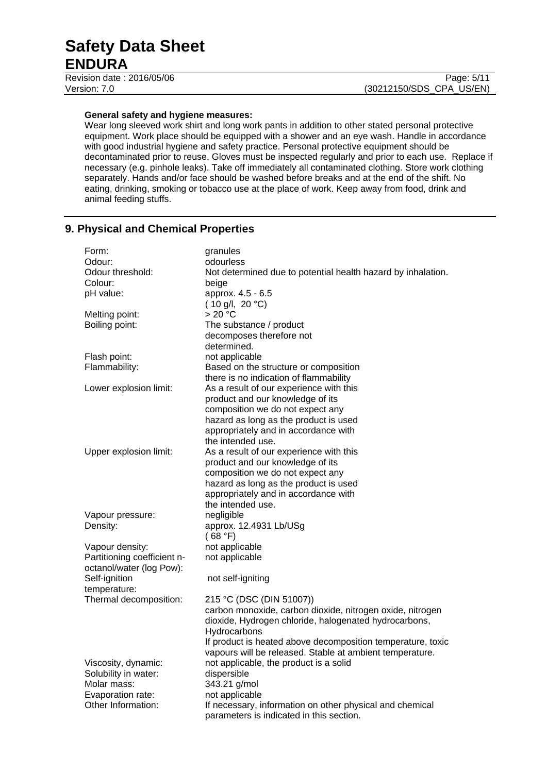Revision date : 2016/05/06 Page: 5/11

#### **General safety and hygiene measures:**

Wear long sleeved work shirt and long work pants in addition to other stated personal protective equipment. Work place should be equipped with a shower and an eye wash. Handle in accordance with good industrial hygiene and safety practice. Personal protective equipment should be decontaminated prior to reuse. Gloves must be inspected regularly and prior to each use. Replace if necessary (e.g. pinhole leaks). Take off immediately all contaminated clothing. Store work clothing separately. Hands and/or face should be washed before breaks and at the end of the shift. No eating, drinking, smoking or tobacco use at the place of work. Keep away from food, drink and animal feeding stuffs.

# **9. Physical and Chemical Properties**

| Form:                       | granules                                                     |
|-----------------------------|--------------------------------------------------------------|
| Odour:                      | odourless                                                    |
| Odour threshold:            | Not determined due to potential health hazard by inhalation. |
| Colour:                     | beige                                                        |
| pH value:                   | approx. 4.5 - 6.5                                            |
|                             | (10 g/l, 20 °C)                                              |
| Melting point:              | >20 °C                                                       |
| Boiling point:              | The substance / product                                      |
|                             | decomposes therefore not                                     |
|                             | determined.                                                  |
| Flash point:                | not applicable                                               |
| Flammability:               | Based on the structure or composition                        |
|                             | there is no indication of flammability                       |
| Lower explosion limit:      | As a result of our experience with this                      |
|                             | product and our knowledge of its                             |
|                             | composition we do not expect any                             |
|                             | hazard as long as the product is used                        |
|                             | appropriately and in accordance with                         |
|                             | the intended use.                                            |
| Upper explosion limit:      | As a result of our experience with this                      |
|                             | product and our knowledge of its                             |
|                             | composition we do not expect any                             |
|                             | hazard as long as the product is used                        |
|                             | appropriately and in accordance with                         |
|                             | the intended use.                                            |
| Vapour pressure:            | negligible                                                   |
| Density:                    | approx. 12.4931 Lb/USg                                       |
|                             | (68 °F)                                                      |
| Vapour density:             | not applicable                                               |
| Partitioning coefficient n- | not applicable                                               |
| octanol/water (log Pow):    |                                                              |
| Self-ignition               | not self-igniting                                            |
| temperature:                |                                                              |
| Thermal decomposition:      | 215 °C (DSC (DIN 51007))                                     |
|                             | carbon monoxide, carbon dioxide, nitrogen oxide, nitrogen    |
|                             | dioxide, Hydrogen chloride, halogenated hydrocarbons,        |
|                             | Hydrocarbons                                                 |
|                             | If product is heated above decomposition temperature, toxic  |
|                             | vapours will be released. Stable at ambient temperature.     |
| Viscosity, dynamic:         | not applicable, the product is a solid                       |
| Solubility in water:        | dispersible                                                  |
| Molar mass:                 | 343.21 g/mol                                                 |
| Evaporation rate:           | not applicable                                               |
| Other Information:          | If necessary, information on other physical and chemical     |
|                             | parameters is indicated in this section.                     |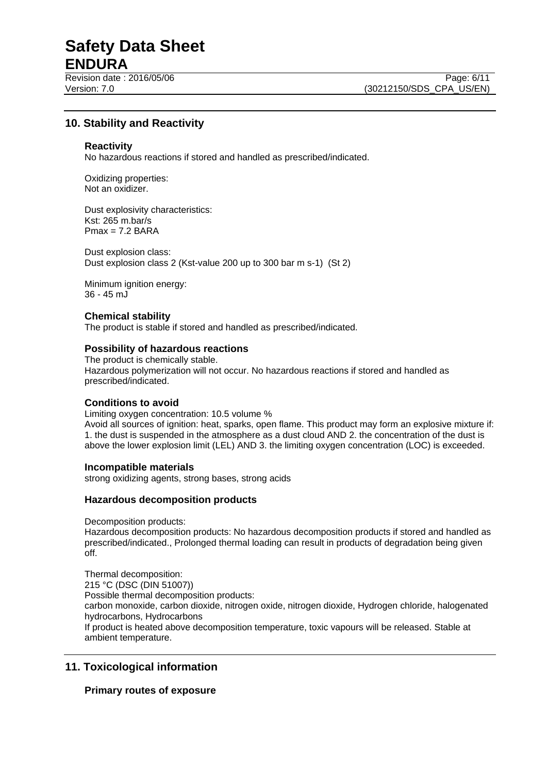Revision date : 2016/05/06 Page: 6/11

Version: 7.0 (30212150/SDS\_CPA\_US/EN)

# **10. Stability and Reactivity**

#### **Reactivity**

No hazardous reactions if stored and handled as prescribed/indicated.

Oxidizing properties: Not an oxidizer.

Dust explosivity characteristics: Kst: 265 m.bar/s  $Pmax = 7.2$  BARA

Dust explosion class: Dust explosion class 2 (Kst-value 200 up to 300 bar m s-1) (St 2)

Minimum ignition energy: 36 - 45 mJ

# **Chemical stability**

The product is stable if stored and handled as prescribed/indicated.

#### **Possibility of hazardous reactions**

The product is chemically stable. Hazardous polymerization will not occur. No hazardous reactions if stored and handled as prescribed/indicated.

#### **Conditions to avoid**

Limiting oxygen concentration: 10.5 volume % Avoid all sources of ignition: heat, sparks, open flame. This product may form an explosive mixture if: 1. the dust is suspended in the atmosphere as a dust cloud AND 2. the concentration of the dust is above the lower explosion limit (LEL) AND 3. the limiting oxygen concentration (LOC) is exceeded.

#### **Incompatible materials**

strong oxidizing agents, strong bases, strong acids

#### **Hazardous decomposition products**

Decomposition products:

Hazardous decomposition products: No hazardous decomposition products if stored and handled as prescribed/indicated., Prolonged thermal loading can result in products of degradation being given off.

Thermal decomposition: 215 °C (DSC (DIN 51007)) Possible thermal decomposition products: carbon monoxide, carbon dioxide, nitrogen oxide, nitrogen dioxide, Hydrogen chloride, halogenated hydrocarbons, Hydrocarbons If product is heated above decomposition temperature, toxic vapours will be released. Stable at ambient temperature.

# **11. Toxicological information**

#### **Primary routes of exposure**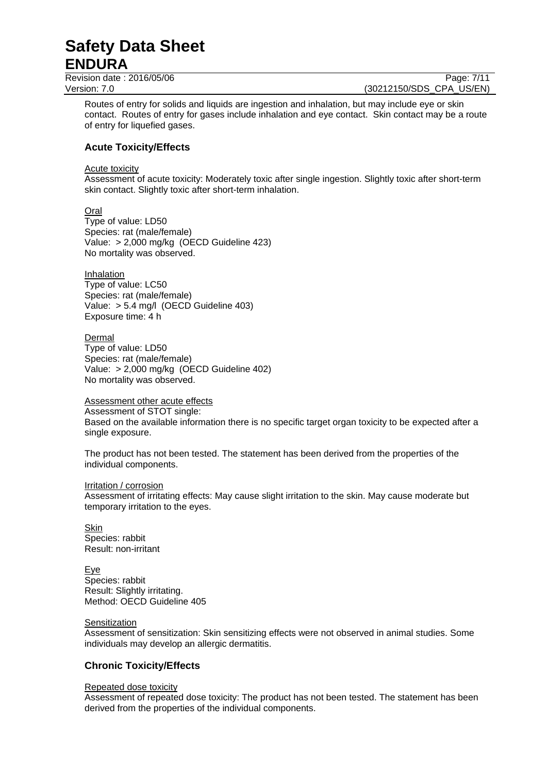Revision date : 2016/05/06 Page: 7/11

Version: 7.0 (30212150/SDS\_CPA\_US/EN)

Routes of entry for solids and liquids are ingestion and inhalation, but may include eye or skin contact. Routes of entry for gases include inhalation and eye contact. Skin contact may be a route of entry for liquefied gases.

# **Acute Toxicity/Effects**

Acute toxicity

Assessment of acute toxicity: Moderately toxic after single ingestion. Slightly toxic after short-term skin contact. Slightly toxic after short-term inhalation.

**Oral** Type of value: LD50 Species: rat (male/female) Value: > 2,000 mg/kg (OECD Guideline 423) No mortality was observed.

Inhalation Type of value: LC50 Species: rat (male/female) Value: > 5.4 mg/l (OECD Guideline 403) Exposure time: 4 h

Dermal Type of value: LD50 Species: rat (male/female) Value: > 2,000 mg/kg (OECD Guideline 402) No mortality was observed.

Assessment other acute effects

Assessment of STOT single:

Based on the available information there is no specific target organ toxicity to be expected after a single exposure.

The product has not been tested. The statement has been derived from the properties of the individual components.

#### Irritation / corrosion

Assessment of irritating effects: May cause slight irritation to the skin. May cause moderate but temporary irritation to the eyes.

Skin Species: rabbit Result: non-irritant

Eye Species: rabbit Result: Slightly irritating. Method: OECD Guideline 405

#### Sensitization

Assessment of sensitization: Skin sensitizing effects were not observed in animal studies. Some individuals may develop an allergic dermatitis.

## **Chronic Toxicity/Effects**

#### Repeated dose toxicity

Assessment of repeated dose toxicity: The product has not been tested. The statement has been derived from the properties of the individual components.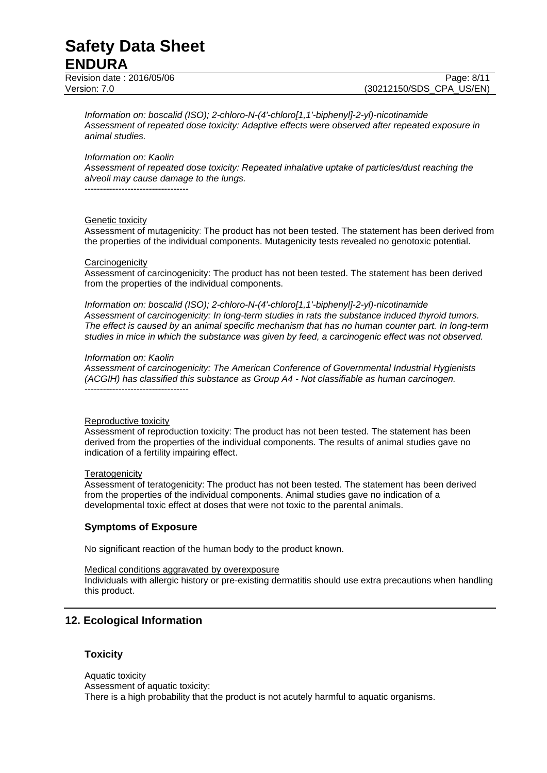Revision date : 2016/05/06 Page: 8/11

Version: 7.0 (30212150/SDS\_CPA\_US/EN)

*Information on: boscalid (ISO); 2-chloro-N-(4'-chloro[1,1'-biphenyl]-2-yl)-nicotinamide Assessment of repeated dose toxicity: Adaptive effects were observed after repeated exposure in animal studies.*

*Information on: Kaolin*

*Assessment of repeated dose toxicity: Repeated inhalative uptake of particles/dust reaching the alveoli may cause damage to the lungs.*

----------------------------------

#### Genetic toxicity

Assessment of mutagenicity: The product has not been tested. The statement has been derived from the properties of the individual components. Mutagenicity tests revealed no genotoxic potential.

#### **Carcinogenicity**

Assessment of carcinogenicity: The product has not been tested. The statement has been derived from the properties of the individual components.

*Information on: boscalid (ISO); 2-chloro-N-(4'-chloro[1,1'-biphenyl]-2-yl)-nicotinamide Assessment of carcinogenicity: In long-term studies in rats the substance induced thyroid tumors. The effect is caused by an animal specific mechanism that has no human counter part. In long-term studies in mice in which the substance was given by feed, a carcinogenic effect was not observed.*

#### *Information on: Kaolin*

*Assessment of carcinogenicity: The American Conference of Governmental Industrial Hygienists (ACGIH) has classified this substance as Group A4 - Not classifiable as human carcinogen.* ----------------------------------

#### Reproductive toxicity

Assessment of reproduction toxicity: The product has not been tested. The statement has been derived from the properties of the individual components. The results of animal studies gave no indication of a fertility impairing effect.

#### **Teratogenicity**

Assessment of teratogenicity: The product has not been tested. The statement has been derived from the properties of the individual components. Animal studies gave no indication of a developmental toxic effect at doses that were not toxic to the parental animals.

#### **Symptoms of Exposure**

No significant reaction of the human body to the product known.

Medical conditions aggravated by overexposure

Individuals with allergic history or pre-existing dermatitis should use extra precautions when handling this product.

## **12. Ecological Information**

#### **Toxicity**

Aquatic toxicity Assessment of aquatic toxicity: There is a high probability that the product is not acutely harmful to aquatic organisms.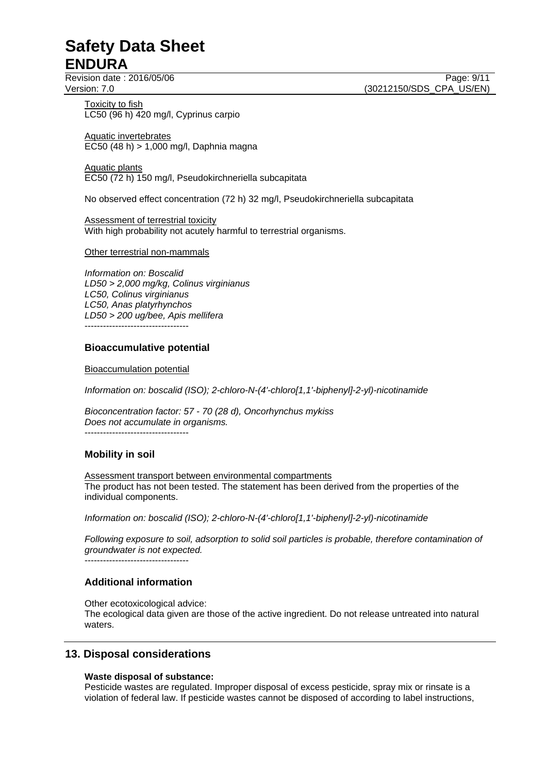Revision date : 2016/05/06 Page: 9/11

Toxicity to fish LC50 (96 h) 420 mg/l, Cyprinus carpio

Aquatic invertebrates EC50 (48 h) > 1,000 mg/l, Daphnia magna

Aquatic plants EC50 (72 h) 150 mg/l, Pseudokirchneriella subcapitata

No observed effect concentration (72 h) 32 mg/l, Pseudokirchneriella subcapitata

Assessment of terrestrial toxicity With high probability not acutely harmful to terrestrial organisms.

#### Other terrestrial non-mammals

*Information on: Boscalid LD50 > 2,000 mg/kg, Colinus virginianus LC50, Colinus virginianus LC50, Anas platyrhynchos LD50 > 200 ug/bee, Apis mellifera* ----------------------------------

### **Bioaccumulative potential**

Bioaccumulation potential

*Information on: boscalid (ISO); 2-chloro-N-(4'-chloro[1,1'-biphenyl]-2-yl)-nicotinamide*

*Bioconcentration factor: 57 - 70 (28 d), Oncorhynchus mykiss Does not accumulate in organisms.*  $-$ 

## **Mobility in soil**

Assessment transport between environmental compartments The product has not been tested. The statement has been derived from the properties of the individual components.

*Information on: boscalid (ISO); 2-chloro-N-(4'-chloro[1,1'-biphenyl]-2-yl)-nicotinamide*

*Following exposure to soil, adsorption to solid soil particles is probable, therefore contamination of groundwater is not expected.*

----------------------------------

## **Additional information**

Other ecotoxicological advice: The ecological data given are those of the active ingredient. Do not release untreated into natural waters.

# **13. Disposal considerations**

#### **Waste disposal of substance:**

Pesticide wastes are regulated. Improper disposal of excess pesticide, spray mix or rinsate is a violation of federal law. If pesticide wastes cannot be disposed of according to label instructions,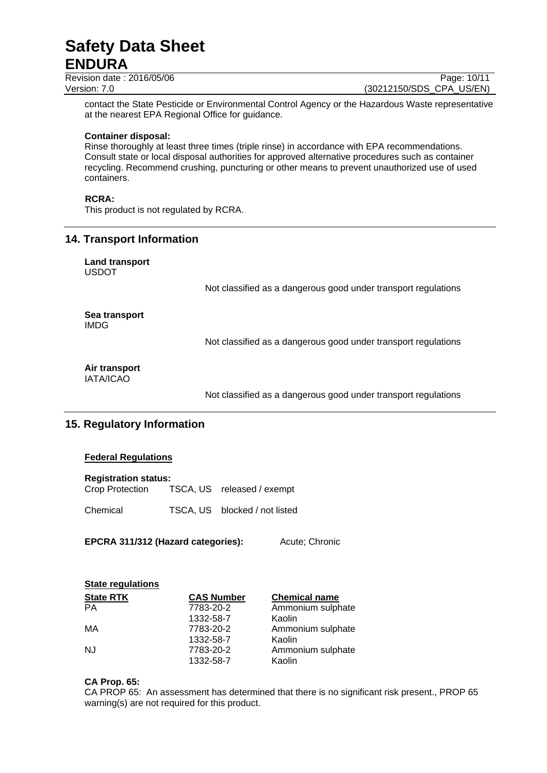Revision date : 2016/05/06 Page: 10/11 Version: 7.0 (30212150/SDS\_CPA\_US/EN)

contact the State Pesticide or Environmental Control Agency or the Hazardous Waste representative at the nearest EPA Regional Office for guidance.

#### **Container disposal:**

Rinse thoroughly at least three times (triple rinse) in accordance with EPA recommendations. Consult state or local disposal authorities for approved alternative procedures such as container recycling. Recommend crushing, puncturing or other means to prevent unauthorized use of used containers.

#### **RCRA:**

This product is not regulated by RCRA.

### **14. Transport Information**

**Land transport** USDOT

Not classified as a dangerous good under transport regulations

**Sea transport** IMDG

Not classified as a dangerous good under transport regulations

#### **Air transport** IATA/ICAO

Not classified as a dangerous good under transport regulations

# **15. Regulatory Information**

#### **Federal Regulations**

| <b>Registration status:</b> |                            |
|-----------------------------|----------------------------|
| Crop Protection             | TSCA, US released / exempt |

Chemical TSCA, US blocked / not listed

**EPCRA 311/312 (Hazard categories):** Acute; Chronic

| <b>State regulations</b> |                   |                      |
|--------------------------|-------------------|----------------------|
| <b>State RTK</b>         | <b>CAS Number</b> | <b>Chemical name</b> |
| <b>PA</b>                | 7783-20-2         | Ammonium sulphate    |
|                          | 1332-58-7         | Kaolin               |
| МA                       | 7783-20-2         | Ammonium sulphate    |
|                          | 1332-58-7         | Kaolin               |
| <b>NJ</b>                | 7783-20-2         | Ammonium sulphate    |
|                          | 1332-58-7         | Kaolin               |

#### **CA Prop. 65:**

CA PROP 65: An assessment has determined that there is no significant risk present., PROP 65 warning(s) are not required for this product.